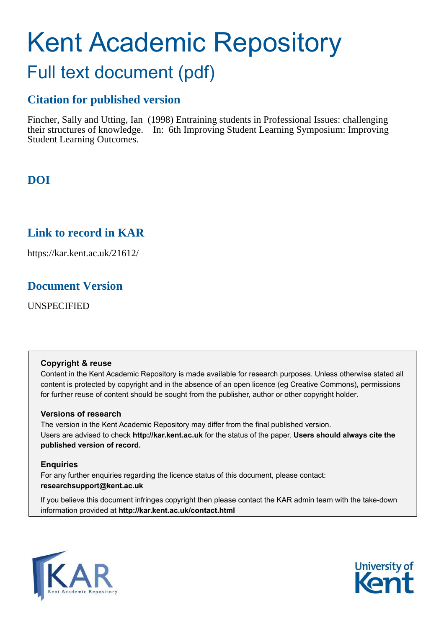# Kent Academic Repository Full text document (pdf)

# **Citation for published version**

Fincher, Sally and Utting, Ian (1998) Entraining students in Professional Issues: challenging their structures of knowledge. In: 6th Improving Student Learning Symposium: Improving Student Learning Outcomes.

# **DOI**

# **Link to record in KAR**

https://kar.kent.ac.uk/21612/

# **Document Version**

UNSPECIFIED

#### **Copyright & reuse**

Content in the Kent Academic Repository is made available for research purposes. Unless otherwise stated all content is protected by copyright and in the absence of an open licence (eg Creative Commons), permissions for further reuse of content should be sought from the publisher, author or other copyright holder.

#### **Versions of research**

The version in the Kent Academic Repository may differ from the final published version. Users are advised to check **http://kar.kent.ac.uk** for the status of the paper. **Users should always cite the published version of record.**

#### **Enquiries**

For any further enquiries regarding the licence status of this document, please contact: **researchsupport@kent.ac.uk**

If you believe this document infringes copyright then please contact the KAR admin team with the take-down information provided at **http://kar.kent.ac.uk/contact.html**



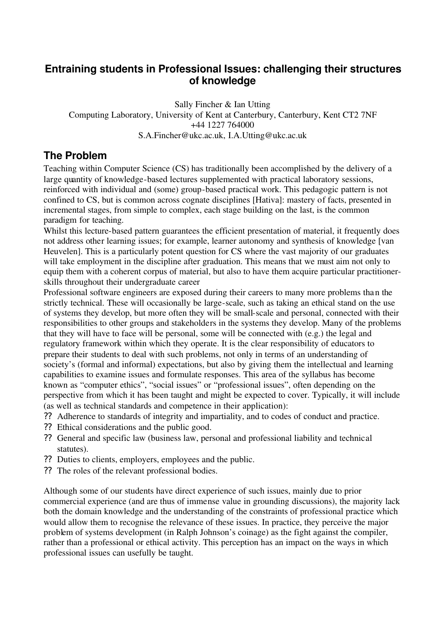# **Entraining students in Professional Issues: challenging their structures of knowledge**

Sally Fincher & Ian Utting Computing Laboratory, University of Kent at Canterbury, Canterbury, Kent CT2 7NF +44 1227 764000 S.A.Fincher@ukc.ac.uk, I.A.Utting@ukc.ac.uk

# **The Problem**

Teaching within Computer Science (CS) has traditionally been accomplished by the delivery of a large quantity of knowledge-based lectures supplemented with practical laboratory sessions, reinforced with individual and (some) group-based practical work. This pedagogic pattern is not confined to CS, but is common across cognate disciplines [Hativa]: mastery of facts, presented in incremental stages, from simple to complex, each stage building on the last, is the common paradigm for teaching.

Whilst this lecture-based pattern guarantees the efficient presentation of material, it frequently does not address other learning issues; for example, learner autonomy and synthesis of knowledge [van Heuvelen]. This is a particularly potent question for CS where the vast majority of our graduates will take employment in the discipline after graduation. This means that we must aim not only to equip them with a coherent corpus of material, but also to have them acquire particular practitionerskills throughout their undergraduate career

Professional software engineers are exposed during their careers to many more problems than the strictly technical. These will occasionally be large-scale, such as taking an ethical stand on the use of systems they develop, but more often they will be small-scale and personal, connected with their responsibilities to other groups and stakeholders in the systems they develop. Many of the problems that they will have to face will be personal, some will be connected with (e.g.) the legal and regulatory framework within which they operate. It is the clear responsibility of educators to prepare their students to deal with such problems, not only in terms of an understanding of society's (formal and informal) expectations, but also by giving them the intellectual and learning capabilities to examine issues and formulate responses. This area of the syllabus has become known as "computer ethics", "social issues" or "professional issues", often depending on the perspective from which it has been taught and might be expected to cover. Typically, it will include (as well as technical standards and competence in their application):

- ?? Adherence to standards of integrity and impartiality, and to codes of conduct and practice.
- ?? Ethical considerations and the public good.
- ?? General and specific law (business law, personal and professional liability and technical statutes).
- ?? Duties to clients, employers, employees and the public.
- ?? The roles of the relevant professional bodies.

Although some of our students have direct experience of such issues, mainly due to prior commercial experience (and are thus of immense value in grounding discussions), the majority lack both the domain knowledge and the understanding of the constraints of professional practice which would allow them to recognise the relevance of these issues. In practice, they perceive the major problem of systems development (in Ralph Johnson's coinage) as the fight against the compiler, rather than a professional or ethical activity. This perception has an impact on the ways in which professional issues can usefully be taught.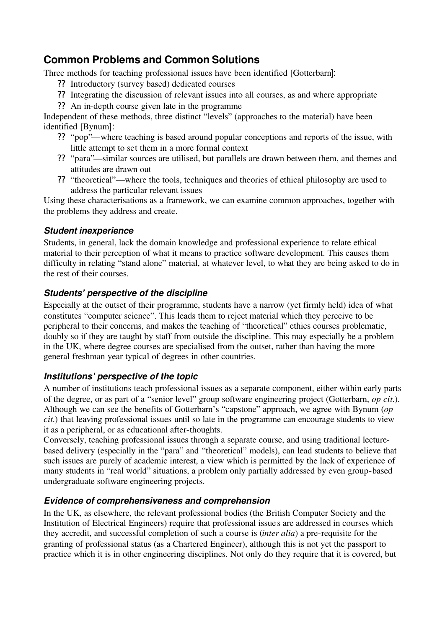# **Common Problems and Common Solutions**

Three methods for teaching professional issues have been identified [Gotterbarn]:

- ?? Introductory (survey based) dedicated courses
- ?? Integrating the discussion of relevant issues into all courses, as and where appropriate
- ?? An in-depth course given late in the programme

Independent of these methods, three distinct "levels" (approaches to the material) have been identified [Bynum]:

- ?? "pop"—where teaching is based around popular conceptions and reports of the issue, with little attempt to set them in a more formal context
- ?? "para"—similar sources are utilised, but parallels are drawn between them, and themes and attitudes are drawn out
- ?? "theoretical"—where the tools, techniques and theories of ethical philosophy are used to address the particular relevant issues

Using these characterisations as a framework, we can examine common approaches, together with the problems they address and create.

#### *Student inexperience*

Students, in general, lack the domain knowledge and professional experience to relate ethical material to their perception of what it means to practice software development. This causes them difficulty in relating "stand alone" material, at whatever level, to what they are being asked to do in the rest of their courses.

#### *Students' perspective of the discipline*

Especially at the outset of their programme, students have a narrow (yet firmly held) idea of what constitutes "computer science". This leads them to reject material which they perceive to be peripheral to their concerns, and makes the teaching of "theoretical" ethics courses problematic, doubly so if they are taught by staff from outside the discipline. This may especially be a problem in the UK, where degree courses are specialised from the outset, rather than having the more general freshman year typical of degrees in other countries.

#### *Institutions' perspective of the topic*

A number of institutions teach professional issues as a separate component, either within early parts of the degree, or as part of a "senior level" group software engineering project (Gotterbarn, *op cit.*). Although we can see the benefits of Gotterbarn's "capstone" approach, we agree with Bynum (*op cit.*) that leaving professional issues until so late in the programme can encourage students to view it as a peripheral, or as educational after-thoughts.

Conversely, teaching professional issues through a separate course, and using traditional lecturebased delivery (especially in the "para" and "theoretical" models), can lead students to believe that such issues are purely of academic interest, a view which is permitted by the lack of experience of many students in "real world" situations, a problem only partially addressed by even group-based undergraduate software engineering projects.

#### *Evidence of comprehensiveness and comprehension*

In the UK, as elsewhere, the relevant professional bodies (the British Computer Society and the Institution of Electrical Engineers) require that professional issue s are addressed in courses which they accredit, and successful completion of such a course is (*inter alia*) a pre-requisite for the granting of professional status (as a Chartered Engineer), although this is not yet the passport to practice which it is in other engineering disciplines. Not only do they require that it is covered, but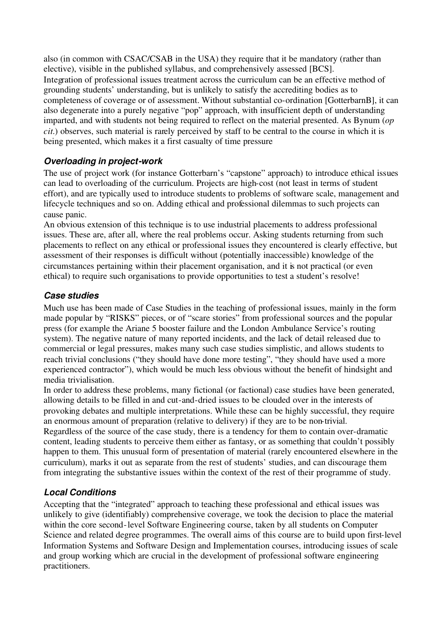also (in common with CSAC/CSAB in the USA) they require that it be mandatory (rather than elective), visible in the published syllabus, and comprehensively assessed [BCS]. Integration of professional issues treatment across the curriculum can be an effective method of grounding students' understanding, but is unlikely to satisfy the accrediting bodies as to completeness of coverage or of assessment. Without substantial co-ordination [GotterbarnB], it can also degenerate into a purely negative "pop" approach, with insufficient depth of understanding imparted, and with students not being required to reflect on the material presented. As Bynum (*op cit.*) observes, such material is rarely perceived by staff to be central to the course in which it is being presented, which makes it a first casualty of time pressure

#### *Overloading in project-work*

The use of project work (for instance Gotterbarn's "capstone" approach) to introduce ethical issues can lead to overloading of the curriculum. Projects are high-cost (not least in terms of student effort), and are typically used to introduce students to problems of software scale, management and lifecycle techniques and so on. Adding ethical and professional dilemmas to such projects can cause panic.

An obvious extension of this technique is to use industrial placements to address professional issues. These are, after all, where the real problems occur. Asking students returning from such placements to reflect on any ethical or professional issues they encountered is clearly effective, but assessment of their responses is difficult without (potentially inaccessible) knowledge of the circumstances pertaining within their placement organisation, and it is not practical (or even ethical) to require such organisations to provide opportunities to test a student's resolve!

#### *Case studies*

Much use has been made of Case Studies in the teaching of professional issues, mainly in the form made popular by "RISKS" pieces, or of "scare stories" from professional sources and the popular press (for example the Ariane 5 booster failure and the London Ambulance Service's routing system). The negative nature of many reported incidents, and the lack of detail released due to commercial or legal pressures, makes many such case studies simplistic, and allows students to reach trivial conclusions ("they should have done more testing", "they should have used a more experienced contractor"), which would be much less obvious without the benefit of hindsight and media trivialisation.

In order to address these problems, many fictional (or factional) case studies have been generated, allowing details to be filled in and cut-and-dried issues to be clouded over in the interests of provoking debates and multiple interpretations. While these can be highly successful, they require an enormous amount of preparation (relative to delivery) if they are to be non-trivial.

Regardless of the source of the case study, there is a tendency for them to contain over-dramatic content, leading students to perceive them either as fantasy, or as something that couldn't possibly happen to them. This unusual form of presentation of material (rarely encountered elsewhere in the curriculum), marks it out as separate from the rest of students' studies, and can discourage them from integrating the substantive issues within the context of the rest of their programme of study.

### *Local Conditions*

Accepting that the "integrated" approach to teaching these professional and ethical issues was unlikely to give (identifiably) comprehensive coverage, we took the decision to place the material within the core second-level Software Engineering course, taken by all students on Computer Science and related degree programmes. The overall aims of this course are to build upon first-level Information Systems and Software Design and Implementation courses, introducing issues of scale and group working which are crucial in the development of professional software engineering practitioners.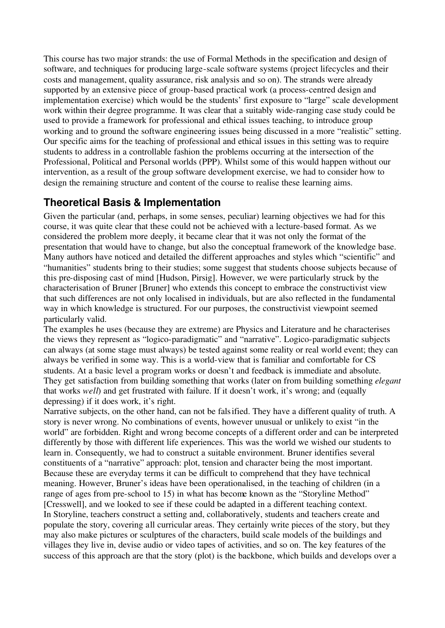This course has two major strands: the use of Formal Methods in the specification and design of software, and techniques for producing large-scale software systems (project lifecycles and their costs and management, quality assurance, risk analysis and so on). The strands were already supported by an extensive piece of group-based practical work (a process-centred design and implementation exercise) which would be the students' first exposure to "large" scale development work within their degree programme. It was clear that a suitably wide-ranging case study could be used to provide a framework for professional and ethical issues teaching, to introduce group working and to ground the software engineering issues being discussed in a more "realistic" setting. Our specific aims for the teaching of professional and ethical issues in this setting was to require students to address in a controllable fashion the problems occurring at the intersection of the Professional, Political and Personal worlds (PPP). Whilst some of this would happen without our intervention, as a result of the group software development exercise, we had to consider how to design the remaining structure and content of the course to realise these learning aims.

# **Theoretical Basis & Implementation**

Given the particular (and, perhaps, in some senses, peculiar) learning objectives we had for this course, it was quite clear that these could not be achieved with a lecture-based format. As we considered the problem more deeply, it became clear that it was not only the format of the presentation that would have to change, but also the conceptual framework of the knowledge base. Many authors have noticed and detailed the different approaches and styles which "scientific" and "humanities" students bring to their studies; some suggest that students choose subjects because of this pre-disposing cast of mind [Hudson, Pirsig]. However, we were particularly struck by the characterisation of Bruner [Bruner] who extends this concept to embrace the constructivist view that such differences are not only localised in individuals, but are also reflected in the fundamental way in which knowledge is structured. For our purposes, the constructivist viewpoint seemed particularly valid.

The examples he uses (because they are extreme) are Physics and Literature and he characterises the views they represent as "logico-paradigmatic" and "narrative". Logico-paradigmatic subjects can always (at some stage must always) be tested against some reality or real world event; they can always be verified in some way. This is a world-view that is familiar and comfortable for CS students. At a basic level a program works or doesn't and feedback is immediate and absolute. They get satisfaction from building something that works (later on from building something *elegant* that works *well*) and get frustrated with failure. If it doesn't work, it's wrong; and (equally depressing) if it does work, it's right.

Narrative subjects, on the other hand, can not be falsified. They have a different quality of truth. A story is never wrong. No combinations of events, however unusual or unlikely to exist "in the world" are forbidden. Right and wrong become concepts of a different order and can be interpreted differently by those with different life experiences. This was the world we wished our students to learn in. Consequently, we had to construct a suitable environment. Bruner identifies several constituents of a "narrative" approach: plot, tension and character being the most important. Because these are everyday terms it can be difficult to comprehend that they have technical meaning. However, Bruner's ideas have been operationalised, in the teaching of children (in a range of ages from pre-school to 15) in what has become known as the "Storyline Method" [Cresswell], and we looked to see if these could be adapted in a different teaching context. In Storyline, teachers construct a setting and, collaboratively, students and teachers create and populate the story, covering all curricular areas. They certainly write pieces of the story, but they may also make pictures or sculptures of the characters, build scale models of the buildings and villages they live in, devise audio or video tapes of activities, and so on. The key features of the success of this approach are that the story (plot) is the backbone, which builds and develops over a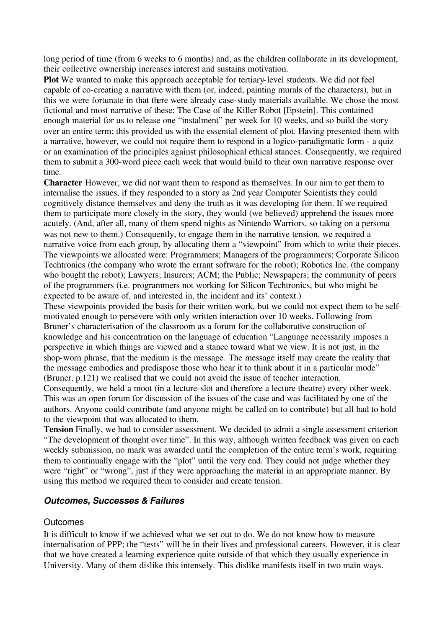long period of time (from 6 weeks to 6 months) and, as the children collaborate in its development, their collective ownership increases interest and sustains motivation.

**Plot** We wanted to make this approach acceptable for tertiary-level students. We did not feel capable of co-creating a narrative with them (or, indeed, painting murals of the characters), but in this we were fortunate in that there were already case-study materials available. We chose the most fictional and most narrative of these: The Case of the Killer Robot [Epstein]. This contained enough material for us to release one "instalment" per week for 10 weeks, and so build the story over an entire term; this provided us with the essential element of plot. Having presented them with a narrative, however, we could not require them to respond in a logico-paradigmatic form - a quiz or an examination of the principles against philosophical ethical stances. Consequently, we required them to submit a 300-word piece each week that would build to their own narrative response over time.

**Character** However, we did not want them to respond as themselves. In our aim to get them to internalise the issues, if they responded to a story as 2nd year Computer Scientists they could cognitively distance themselves and deny the truth as it was developing for them. If we required them to participate more closely in the story, they would (we believed) apprehend the issues more acutely. (And, after all, many of them spend nights as Nintendo Warriors, so taking on a persona was not new to them.) Consequently, to engage them in the narrative tension, we required a narrative voice from each group, by allocating them a "viewpoint" from which to write their pieces. The viewpoints we allocated were: Programmers; Managers of the programmers; Corporate Silicon Techtronics (the company who wrote the errant software for the robot); Robotics Inc. (the company who bought the robot); Lawyers; Insurers; ACM; the Public; Newspapers; the community of peers of the programmers (i.e. programmers not working for Silicon Techtronics, but who might be expected to be aware of, and interested in, the incident and its' context.)

These viewpoints provided the basis for their written work, but we could not expect them to be selfmotivated enough to persevere with only written interaction over 10 weeks. Following from Bruner's characterisation of the classroom as a forum for the collaborative construction of knowledge and his concentration on the language of education "Language necessarily imposes a perspective in which things are viewed and a stance toward what we view. It is not just, in the shop-worn phrase, that the medium is the message. The message itself may create the reality that the message embodies and predispose those who hear it to think about it in a particular mode" (Bruner, p.121) we realised that we could not avoid the issue of teacher interaction.

Consequently, we held a moot (in a lecture-slot and therefore a lecture theatre) every other week. This was an open forum for discussion of the issues of the case and was facilitated by one of the authors. Anyone could contribute (and anyone might be called on to contribute) but all had to hold to the viewpoint that was allocated to them.

**Tension** Finally, we had to consider assessment. We decided to admit a single assessment criterion "The development of thought over time". In this way, although written feedback was given on each weekly submission, no mark was awarded until the completion of the entire term's work, requiring them to continually engage with the "plot" until the very end. They could not judge whether they were "right" or "wrong", just if they were approaching the material in an appropriate manner. By using this method we required them to consider and create tension.

#### *Outcomes, Successes & Failures*

#### **Outcomes**

It is difficult to know if we achieved what we set out to do. We do not know how to measure internalisation of PPP; the "tests" will be in their lives and professional careers. However, it is clear that we have created a learning experience quite outside of that which they usually experience in University. Many of them dislike this intensely. This dislike manifests itself in two main ways.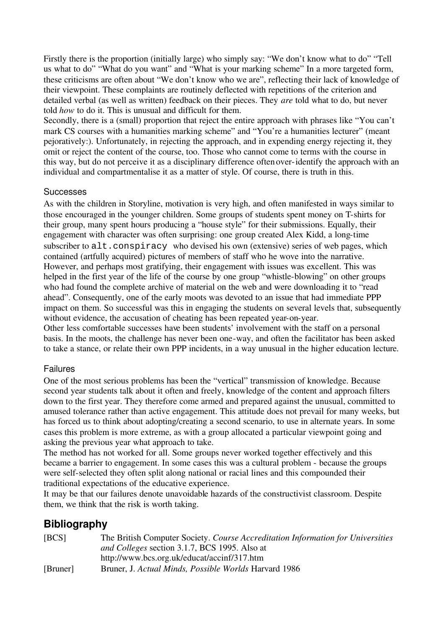Firstly there is the proportion (initially large) who simply say: "We don't know what to do" "Tell us what to do" "What do you want" and "What is your marking scheme" In a more targeted form, these criticisms are often about "We don't know who we are", reflecting their lack of knowledge of their viewpoint. These complaints are routinely deflected with repetitions of the criterion and detailed verbal (as well as written) feedback on their pieces. They *are* told what to do, but never told *how* to do it. This is unusual and difficult for them.

Secondly, there is a (small) proportion that reject the entire approach with phrases like "You can't mark CS courses with a humanities marking scheme" and "You're a humanities lecturer" (meant pejoratively:). Unfortunately, in rejecting the approach, and in expending energy rejecting it, they omit or reject the content of the course, too. Those who cannot come to terms with the course in this way, but do not perceive it as a disciplinary difference often over-identify the approach with an individual and compartmentalise it as a matter of style. Of course, there is truth in this.

#### **Successes**

As with the children in Storyline, motivation is very high, and often manifested in ways similar to those encouraged in the younger children. Some groups of students spent money on T-shirts for their group, many spent hours producing a "house style" for their submissions. Equally, their engagement with character was often surprising: one group created Alex Kidd, a long-time subscriber to alt.conspiracy who devised his own (extensive) series of web pages, which contained (artfully acquired) pictures of members of staff who he wove into the narrative. However, and perhaps most gratifying, their engagement with issues was excellent. This was helped in the first year of the life of the course by one group "whistle-blowing" on other groups who had found the complete archive of material on the web and were downloading it to "read ahead". Consequently, one of the early moots was devoted to an issue that had immediate PPP impact on them. So successful was this in engaging the students on several levels that, subsequently without evidence, the accusation of cheating has been repeated year-on-year.

Other less comfortable successes have been students' involvement with the staff on a personal basis. In the moots, the challenge has never been one-way, and often the facilitator has been asked to take a stance, or relate their own PPP incidents, in a way unusual in the higher education lecture.

#### Failures

One of the most serious problems has been the "vertical" transmission of knowledge. Because second year students talk about it often and freely, knowledge of the content and approach filters down to the first year. They therefore come armed and prepared against the unusual, committed to amused tolerance rather than active engagement. This attitude does not prevail for many weeks, but has forced us to think about adopting/creating a second scenario, to use in alternate years. In some cases this problem is more extreme, as with a group allocated a particular viewpoint going and asking the previous year what approach to take.

The method has not worked for all. Some groups never worked together effectively and this became a barrier to engagement. In some cases this was a cultural problem - because the groups were self-selected they often split along national or racial lines and this compounded their traditional expectations of the educative experience.

It may be that our failures denote unavoidable hazards of the constructivist classroom. Despite them, we think that the risk is worth taking.

# **Bibliography**

| [BCS]    | The British Computer Society. Course Accreditation Information for Universities<br><i>and Colleges section 3.1.7, BCS 1995. Also at</i> |
|----------|-----------------------------------------------------------------------------------------------------------------------------------------|
|          | http://www.bcs.org.uk/educat/accinf/317.htm                                                                                             |
| [Bruner] | Bruner, J. Actual Minds, Possible Worlds Harvard 1986                                                                                   |